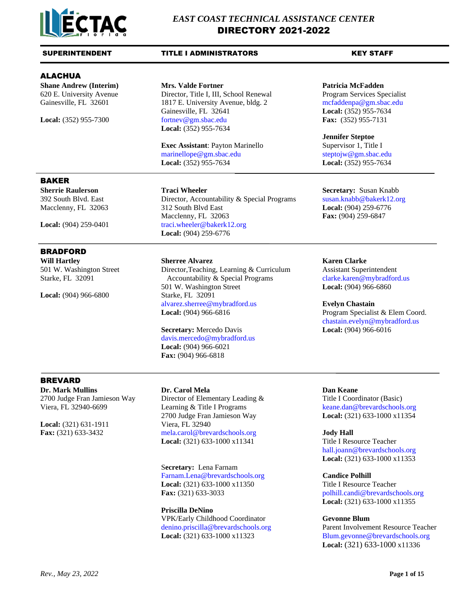

# SUPERINTENDENT TITLE I ADMINISTRATORS THE KEY STAFF

# ALACHUA

**Shane Andrew (Interim) Mrs. Valde Fortner Patricia McFadden**

620 E. University Avenue Director, Title I, III, School Renewal Program Services Specialist<br>Gainesville, FL 32601 1817 E. University Avenue, bldg. 2 mcfaddenpa@gm.sbac.edu 1817 E. University Avenue, bldg. 2 [mcfaddenpa@gm.sbac.edu](mailto:mcfaddenpa@gm.sbac.edu) Gainesville, FL 32641 **Local:** (352) 955-7634 **Local:** (352) 955-7300 [fortnev@gm.sbac.edu](mailto:fortnev@gm.sbac.edu) **Fax:** (352) 955-7131 **Local:** (352) 955-7634

> **Exec Assistant:** Payton Marinello Supervisor 1, Title I [marinellope@gm.sbac.edu](mailto:marinellope@gm.sbac.edu) [steptojw@gm.sbac.edu](mailto:steptojw@gm.sbac.edu) **Local:** (352) 955-7634 **Local:** (352) 955-7634

# BAKER

# BRADFORD

**Will Hartley Sherree Alvarez Karen Clarke**

**Local:** (904) 966-6800 Starke, FL 32091

392 South Blvd. East Director, Accountability & Special Programs [susan.knabb@bakerk12.org](mailto:susan.knabb@bakerk12.org) Macclenny, FL 32063 312 South Blvd East **Local:** (904) 259-6776 Macclenny, FL 32063 **Fax:** (904) 259-6847 Local: (904) 259-0401 [traci.wheeler@bakerk12.org](mailto:traci.wheeler@bakerk12.org) **Local:** (904) 259-6776

501 W. Washington Street Director,Teaching, Learning & Curriculum Assistant Superintendent Starke, FL 32091 **Accountability & Special Programs** [clarke.karen@mybradford.us](mailto:clarke.karen@mybradford.us) 501 W. Washington Street **Local:** (904) 966-6860 [alvarez.sherree@mybradford.us](mailto:alvarez.sherree@mybradford.us) **Evelyn Chastain Local:** (904) 966-6816 **Program Specialist & Elem Coord.** 

# **Secretary:** Mercedo Davis **Local:** (904) 966-6016 [davis.mercedo@mybradford.us](mailto:davis.mercedo@mybradford.us) **Local:** (904) 966-6021 **Fax:** (904) 966-6818

BREVARD

**Dr. Mark Mullins Dr. Carol Mela Dan Keane**

**Local:** (321) 631-1911 Viera, FL 32940

2700 Judge Fran Jamieson Way Director of Elementary Leading & Title I Coordinator (Basic) Viera, FL 32940-6699 Learning & Title I Programs keane.dan@brevardschools.org 2700 Judge Fran Jamieson Way **Local:** (321) 633-1000 x11354 **Fax:** (321) 633-3432 mela.carol@brevardschools.org **Jody Hall Local:** (321) 633-1000 x11341 Title I Resource Teacher

> S**ecretary:** Lena Farnam Farnam.Lena@brevardschools.org **Candice Polhill Local:** (321) 633-1000 x11350 Title I Resource Teacher **Fax:** (321) 633-3033 polhill.candi@brevardschools.org

**Priscilla DeNino** VPK/Early Childhood Coordinator **Gevonne Blum** Local: (321) 633-1000 x11323 [Blum.gevonne@brevardschools.org](mailto:Blum.gevonne@brevardschools.org)

**Jennifer Steptoe**

**Sherrie Raulerson Traci Wheeler Secretary:** Susan Knabb

[chastain.evelyn@mybradford.us](mailto:chastain.evelyn@mybradford.us)

hall.joann@brevardschools.org **Local:** (321) 633-1000 x11353

**Local:** (321) 633-1000 x11355

[denino.priscilla@brevardschools.org](mailto:denino.priscilla@brevardschools.org) Parent Involvement Resource Teacher **Local:** (321) 633-1000 x11336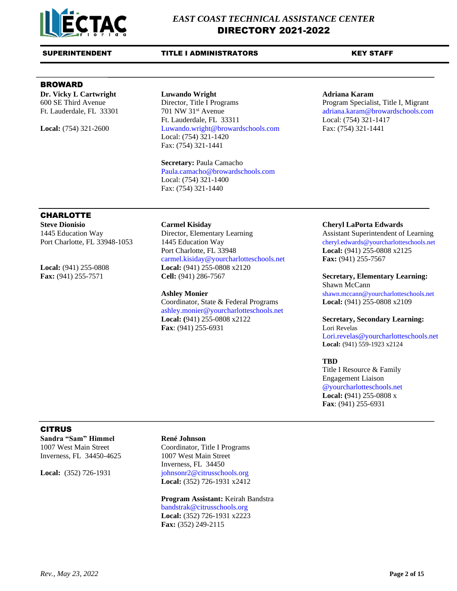

# BROWARD

**Dr. Vicky L Cartwright Luwando Wright Adriana Karam**

600 SE Third Avenue Director, Title I Programs Program Specialist, Title I, Migrant Ft. Lauderdale, FL 33301 701 NW 31<sup>st</sup> Avenue [adriana.karam@browardschools.com](mailto:adriana.karam@browardschools.com) Ft. Lauderdale, FL 33311 Local: (754) 321-1417 **Local:** (754) 321-2600 [Luwando.wright@browardschools.com](mailto:Luwando.wright@browardschools.com) Fax: (754) 321-1441 Local: (754) 321-1420 Fax: (754) 321-1441

> **Secretary:** Paula Camacho [Paula.camacho@browardschools.com](mailto:Paula.camacho@browardschools.com) Local: (754) 321-1400 Fax: (754) 321-1440

# **CHARLOTTE**

**Steve Dionisio Carmel Kisiday Carmel Kisiday Cheryl LaPorta Edwards** 

1445 Education Way Director, Elementary Learning Assistant Superintendent of Learning Port Charlotte, FL 33948-1053 1445 Education Way [cheryl.edwards@yourcharlotteschools.net](mailto:cheryl.edwards@yourcharlotteschools.net) Port Charlotte, FL 33948 **Local:** (941) 255-0808 x2125 [carmel.kisiday@yourcharlotteschools.net](mailto:carmel.kisiday@yourcharlotteschools.net) **Fax:** (941) 255-7567 **Local:** (941) 255-0808 **Local:** (941) 255-0808 x2120 **Fax:** (941) 255-7571 **Cell:** (941) 286-7567 **Secretary, Elementary Learning:**

Coordinator, State & Federal Programs **Local:** (941) 255-0808 x2109 [ashley.monier@y](mailto:ashley.monier@)ourcharlotteschools.net **Local: (**941) 255-0808 x2122 **Secretary, Secondary Learning: Fax**: (941) 255-6931 Lori Revelas

# Shawn McCann

Ashley Monier [shawn.mccann@yourcharlotteschools.net](mailto:shawn.mccann@yourcharlotteschools.net)

[Lori.revelas@yourcharlotteschools.net](mailto:Lori.revelas@yourcharlotteschools.net) **Local:** (941) 559-1923 x2124

# **TBD**

Title I Resource & Family [Engagement](mailto:carmel.kisiday@yourcharlottesschools.net) Liaison [@yourcharlotteschools.net](mailto:renee.wiley@yourcharlotteschools.net) **Local: (**941) 255-0808 x **Fax**: (941) 255-6931

# CITRUS

**Sandra "Sam" Himmel René Johnson** Inverness, FL 34450-4625 1007 West Main Street

1007 West Main Street Coordinator, Title I Programs Inverness, FL 34450 Local: (352) 726-1931 [johnsonr2@citrusschools.org](mailto:johnsonr2@citrusschools.org) **Local:** (352) 726-1931 x2412

> **Program Assistant:** Keirah Bandstra [bandstrak@citrusschools.org](mailto:bandstrak@citrusschools.org) **Local:** (352) 726-1931 x2223 **Fax:** (352) 249-2115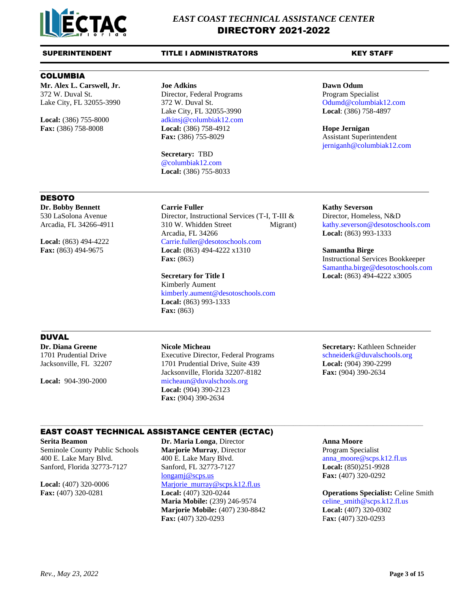

# COLUMBIA

**Mr. Alex L. Carswell, Jr. Joe Adkins Dawn Odum** 372 W. Duval St. Director, Federal Programs Program Specialist Lake City, FL 32055-3990 372 W. Duval St. Common Columbiak12.com

Lake City, FL 32055-3990 **Local**: (386) 758-4897 Local: (386) 755-8000 adkinsj@columbiak12.com **Fax:** (386) 758-8008 **Local:** (386) 758-4912 **Hope Jernigan** Fax: (386) 755-8029 Assistant Superintendent

> **Secretary:** TBD @columbiak12.com **Local:** (386) 755-8033

[jerniganh@columbiak12.com](mailto:jerniganh@columbiak12.com)

# DESOTO

**Dr. Bobby Bennett Carrie Fuller Kathy Severson**

530 LaSolona Avenue Director, Instructional Services (T-I, T-III & Director, Homeless, N&D Arcadia, FL 34266-4911 310 W. Whidden Street Migrant) [kathy.severson@desotoschools.com](mailto:kathy.severson@desotoschools.com)  Arcadia, FL 34266 **Local:** (863) 993-1333 **Local:** (863) 494-4222 [Carrie.fuller@desotoschools.com](mailto:Carrie.fuller@desotoschools.com) **Fax:** (863) 494-9675 **Local:** (863) 494-4222 x1310 **Samantha Birge Fax:** (863) **Instructional Services Bookkeeper** 

> **Secretary for Title I Local:** (863) 494-4222 x3005 Kimberly Aument [kimberly.aument@desotoschools.com](mailto:kimberly.aument@desotoschools.com) **Local:** (863) 993-1333 **Fax:** (863)

[Samantha.birge@desotoschools.com](mailto:Samantha.birge@desotoschools.com)

# DUVAL

1701 Prudential Drive Executive Director, Federal Programs [schneiderk@duvalschools.org](mailto:schneiderk@duvalschools.org) Jacksonville, FL 32207 1701 Prudential Drive, Suite 439 **Local:** (904) 390-2299 Jacksonville, Florida 32207-8182 **Fax:** (904) 390-2634 Local: 904-390-2000 [micheaun@duvalschools.org](mailto:micheaun@duvalschools.org) **Local:** (904) 390-2123 **Fax:** (904) 390-2634

 $\_$  , and the state of the state of the state of the state of the state of the state of the state of the state of the state of the state of the state of the state of the state of the state of the state of the state of the

**Dr. Diana Greene Nicole Micheau Secretary:** Kathleen Schneider

# EAST COAST TECHNICAL ASSISTANCE CENTER (ECTAC)

**Serita Beamon Dr. Maria Longa**, Director **Anna Moore** Seminole County Public Schools **Marjorie Murray**, Director Program Specialist 400 E. Lake Mary Blvd. 400 E. Lake Mary Blvd. [anna\\_moore@scps.k12.fl.us](mailto:anna_moore@scps.k12.fl.us) Sanford, Florida 32773-7127 Sanford, FL 32773-7127 **Local:** (850)251-9928 [longamj@scps.us](mailto:longamj@scps.us) **Fax:** (407) 320-0292 **Local:** (407) 320-0006 [Marjorie\\_murray@scps.k12.fl.us](mailto:Marjorie_murray@scps.k12.fl.us) **Fax:** (407) 320-0281 **Local:** (407) 320-0244 **Operations Specialist:** Celine Smith **Maria Mobile:** (239) 246-9574 [celine\\_smith@scps.k12.fl.us](mailto:celine_smith@scps.k12.fl.us) **Marjorie Mobile:** (407) 230-8842 **Local:** (407) 320-0302 **Fax:** (407) 320-0293 F**ax:** (407) 320-0293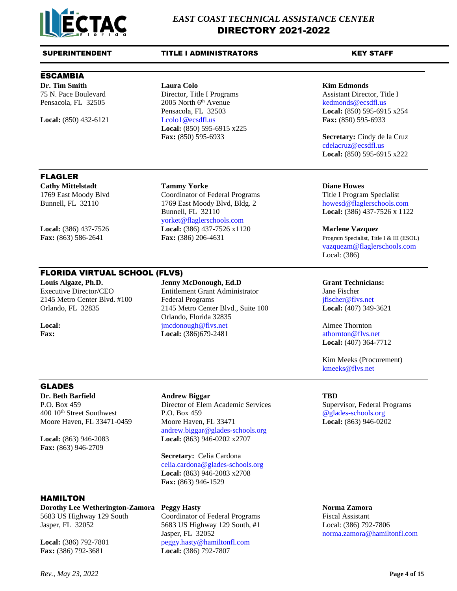

# SUPERINTENDENT TITLE I ADMINISTRATORS THE KEY STAFF

# ESCAMBIA

75 N. Pace Boulevard Director, Title I Programs Assistant Director, Title I Pensacola, FL 32505 2005 North 6<sup>th</sup> Avenue [kedmonds@ecsdfl.us](mailto:kedmonds@ecsdfl.us) Pensacola, FL 32503 **Local:** (850) 595-6915 x254 **Local:** (850) 432-6121 [Lcolo1@ecsdfl.us](mailto:Lcolo1@ecsdfl.us) **Fax:** (850) 595-6933 **Local:** (850) 595-6915 x225 **Fax:** (850) 595-6933 **Secretary:** Cindy de la Cruz

yorket@flaglerschools.com

# **Dr. Tim Smith Laura Colo Kim Edmonds**

[cdelacruz@ecsdfl.us](mailto:cdelacruz@ecsdfl.us) **Local:** (850) 595-6915 x222

# FLAGLER

**Cathy Mittelstadt Tammy Yorke Diane Howes** 1769 East Moody Blvd Coordinator of Federal Programs Title I Program Specialist

**Local:** (386) 437-7526 **Local:** (386) 437-7526 x1120 **Marlene Vazquez**

# FLORIDA VIRTUAL SCHOOL (FLVS)

**Louis Algaze, Ph.D. Jenny McDonough, Ed.D Grant Technicians:**

Executive Director/CEO Entitlement Grant Administrator Jane Fischer 2145 Metro Center Blvd. #100 Federal Programs jfischer@flvs.net Orlando, FL 32835 2145 Metro Center Blvd., Suite 100 **Local:** (407) 349-3621 Orlando, Florida 32835 **Local: imcdonough@flvs.net** Aimee Thornton **Fax: Local:** (386)679-2481 **athornton athornton e** flys.net

Bunnell, FL 32110 1769 East Moody Blvd, Bldg. 2 howesd@flaglerschools.com Bunnell, FL 32110 **Local:** (386) 437-7526 x 1122

**Fax:** (863) 586-2641 **Fax:** (386) 206-4631 **Program Specialist, Title I & III** (ESOL) [vazquezm@flaglerschools.com](mailto:vazquezm@flaglerschools.com) Local: (386)

**Local:** (407) 364-7712

Kim Meeks (Procurement) [kmeeks@flvs.net](mailto:kmeeks@flvs.net)

# GLADES

**Dr. Beth Barfield Andrew Biggar TBD**

**Fax:** (863) 946-2709

P.O. Box 459 Director of Elem Academic Services Supervisor, Federal Programs 400 10th Street Southwest P.O. Box 459 [@glades-schools.org](mailto:jennifer.cosby@glades-schools.org) Moore Haven, FL 33471-0459 Moore Haven, FL 33471 **Local:** (863) 946-0202 andrew.biggar@glades-schools.org **Local:** (863) 946-2083 **Local:** (863) 946-0202 x2707

> **Secretary:** Celia Cardona [celia.cardona@glades-schools.org](mailto:celia.cardona@glades-schools.org) **Local:** (863) 946-2083 x2708 **Fax:** (863) 946-1529

# HAMILTON

**Dorothy Lee Wetherington-Zamora Peggy Hasty Norma Zamora** 5683 US Highway 129 South Coordinator of Federal Programs Fiscal Assistant Jasper, FL 32052 5683 US Highway 129 South, #1 Local: (386) 792-7806

**Fax:** (386) 792-3681 **Local:** (386) 792-7807

Jasper, FL 32052 [norma.zamora@hamiltonfl.com](mailto:norma.zamora@hamiltonfl.com) Local: (386) 792-7801 [peggy.hasty@hamiltonfl.com](mailto:peggy.hasty@hamiltonfl.com)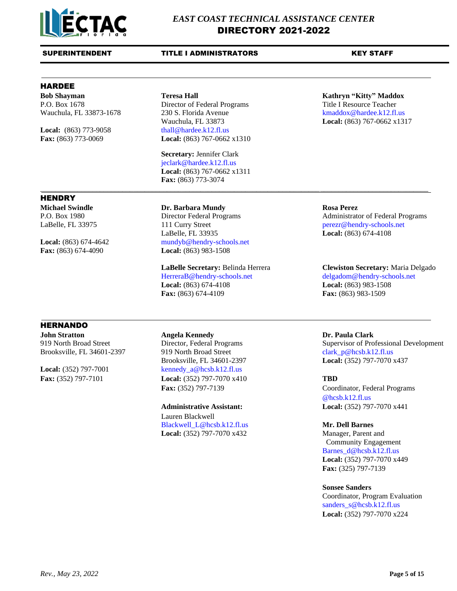

# HARDEE

**HENDRY** 

P.O. Box 1678 Director of Federal Programs Title I Resource Teacher

**Local:** (863) 773-9058 [thall@hardee.k12.fl.us](mailto:thall@hardee.k12.fl.us)

Wauchula, FL 33873-1678 230 S. Florida Avenue [kmaddox@hardee.k12.fl.us](mailto:kmaddox@hardee.k12.fl.us) Wauchula, FL 33873 **Local:** (863) 767-0662 x1317 **Fax:** (863) 773-0069 **Local:** (863) 767-0662 x1310

**Secretary:** Jennifer Clark [jeclark@hardee.k12.fl.us](mailto:jeclark@hardee.k12.fl.us) **Local:** (863) 767-0662 x1311 **Fax:** (863) 773-3074 \_\_\_\_\_\_\_\_\_\_\_\_\_\_\_\_\_\_\_\_\_\_\_\_\_\_\_\_\_\_\_\_\_\_\_\_\_\_\_\_\_\_\_\_\_\_\_\_\_\_\_\_\_\_\_\_\_\_\_\_\_\_\_\_\_\_\_\_\_\_\_\_\_\_\_\_\_\_\_\_\_\_\_\_\_\_\_\_\_\_\_\_\_\_\_\_\_\_\_\_\_\_\_\_

# **Michael Swindle Dr. Barbara Mundy Rosa Perez**

LaBelle, FL 33975 111 Curry Street [perezr@h](mailto:perezr@)endry-schools.net LaBelle, FL 33935 **Local:** (863) 674-4108 Local: (863) 674-4642 mundyb@hendry-schools.net **Fax:** (863) 674-4090 **Local:** (863) 983-1508

HerreraB@hendry-schools.net [delgadom@h](mailto:delgadom@hendry.k12.fl.us)endry-schools.net **Local:** (863) 674-4108 **Local:** (863) 983-1508 **Fax:** (863) 674-4109 **Fax:** (863) 983-1509

# **HERNANDO**

**John Stratton Angela Kennedy Dr. Paula Clark**

Brooksville, FL 34601-2397 919 North Broad Street clark\_p@hcsb.k12.fl.us **Local:** (352) 797-7001 [kennedy\\_a@hcsb.k12.fl.us](mailto:kennedy_a@hcsb.k12.fl.us) **Fax:** (352) 797-7101 **Local:** (352) 797-7070 x410 **TBD**

> Lauren Blackwell [Blackwell\\_L@hcsb.k12.fl.us](mailto:Blackwell_L@hcsb.k12.fl.us) **Mr. Dell Barnes Local:** (352) 797-7070 x432 Manager, Parent and

# **Bob Shayman Teresa Hall Kathryn "Kitty" Maddox**

# P.O. Box 1980 Director Federal Programs Administrator of Federal Programs

# **LaBelle Secretary:** Belinda Herrera **Clewiston Secretary:** Maria Delgado

919 North Broad Street Director, Federal Programs Supervisor of Professional Development Brooksville, FL 34601-2397 **Local:** (352) 797-7070 x437

Fax: (352) 797-7139 Coordinator, Federal Programs @hcsb.k12.fl.us **Administrative Assistant: Local:** (352) 797-7070 x441

 Community Engagement Barnes\_d@hcsb.k12.fl.us **Local:** (352) 797-7070 x449 **Fax:** (325) 797-7139

## **Sonsee Sanders**

Coordinator, Program Evaluation [sanders\\_s@hcsb.k12.fl.us](mailto:sanders_s@hcsb.k12.fl.us) **Local:** (352) 797-7070 x224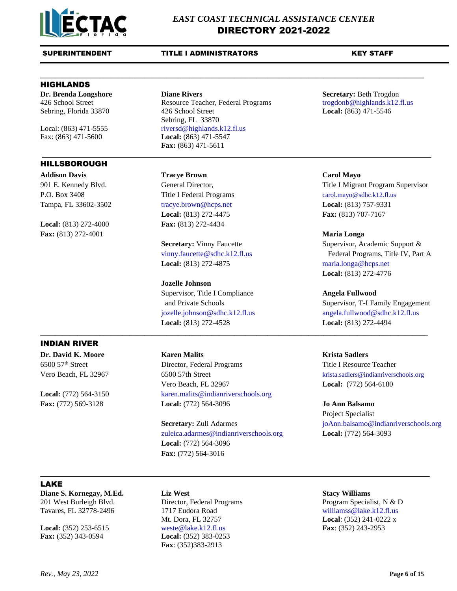

# HIGHLANDS

# HILLSBOROUGH

**Local:** (813) 272-4000 **Fax:** (813) 272-4434 **Fax:** (813) 272-4001 **Maria Longa**

INDIAN RIVER

**Dr. Brenda Longshore Diane Rivers Secretary:** Beth Trogdon 426 School Street Resource Teacher, Federal Programs [trogdonb@highlands.k12.fl.us](mailto:trogdonb@highlands.k12.fl.us) Sebring, Florida 33870 426 School Street **Local:** (863) 471-5546 Sebring, FL 33870 Local: (863) 471-5555 [riversd@highlands.k12.fl.us](mailto:riversd@highlands.k12.fl.us) Fax: (863) 471-5600 **Local:** (863) 471-5547 **Fax:** (863) 471-5611

**\_\_\_\_\_\_\_\_\_\_\_\_\_\_\_\_\_\_\_\_\_\_\_\_\_\_\_\_\_\_\_\_\_\_\_\_\_\_\_\_\_\_\_\_\_\_\_\_\_\_\_\_\_\_\_\_\_\_\_\_\_\_\_\_\_\_\_\_\_\_\_\_\_\_\_\_\_\_\_\_\_\_\_\_\_\_\_\_\_\_\_\_\_\_\_\_\_\_\_\_\_\_\_**

**Addison Davis Tracye Brown Carol Mayo** Tampa, FL 33602-3502 [tracye.brown@hcps.net](mailto:tracye.brown@hcps.net) **Local:** (813) 757-9331 **Local:** (813) 272-4475 **Fax:** (813) 707-7167

**Local:** (813) 272-4875 [maria.longa@hcps.net](mailto:maria.longa@hcps.net)

# **Jozelle Johnson**

Supervisor, Title I Compliance **Angela Fullwood Local:** (813) 272-4528 **Local:** (813) 272-4494

\_\_\_\_\_\_\_\_\_\_\_\_\_\_\_\_\_\_\_\_\_\_\_\_\_\_\_\_\_\_\_\_\_\_\_\_\_\_\_\_\_\_\_\_\_\_\_\_\_\_\_\_\_\_\_\_\_\_\_\_\_\_\_\_\_\_\_\_\_\_\_\_\_\_\_\_\_\_\_\_\_\_\_\_\_\_\_\_\_\_\_\_\_\_\_\_\_\_\_\_\_\_\_\_

**Dr. David K. Moore Karen Malits Krista Sadlers** 6500 57th Street Director, Federal Programs Title I Resource Teacher Vero Beach, FL 32967 6500 57th Street [krista.sadlers@indianriverschools.org](mailto:krista.sadlers@indianriverschools.org) Vero Beach, FL 32967 **Local:** (772) 564-6180 Local: (772) 564-3150 karen.malits@indianriverschools.org **Fax:** (772) 569-3128 **Local:** (772) 564-3096 **Jo Ann Balsamo**

> **Secretary:** Zuli Adarmes [joAnn.balsamo@indianriverschools.org](mailto:joAnn.balsamo@indianriverschools.org) [zuleica.adarmes@indianriverschools.org](mailto:zuleica.adarmes@indianriverschools.org) **Local:** (772) 564-3093 **Local:** (772) 564-3096 **Fax:** (772) 564-3016

901 E. Kennedy Blvd. General Director, Title I Migrant Program Supervisor P.O. Box 3408 Title I Federal Programs carol.mayo@sdhc.k12.fl.us

> **Secretary:** Vinny Faucette Supervisor, Academic Support & vinny.faucette@sdhc.k12.fl.us Federal Programs, Title IV, Part A **Local:** (813) 272-4776

> and Private Schools Supervisor, T-I Family Engagement [jozelle.johnson@sdhc.k12.fl.us](mailto:jozelle.johnson@sdhc.k12.fl.us) angela.fullwood@sdhc.k12.fl.us

Project Specialist

# LAKE

**Diane S. Kornegay, M.Ed. Liz West Stacy Williams** 201 West Burleigh Blvd. Director, Federal Programs Program Specialist, N & D

**Fax:** (352) 343-0594 **Local:** (352) 383-0253

Tavares, FL 32778-2496 1717 Eudora Road williamss @lake.k12.fl.us Mt. Dora, FL 32757 **Local**: (352) 241-0222 x **Local:** (352) 253-6515 [weste@lake.k12.fl.us](mailto:weste@lake.k12.fl.us) **Fax**: (352) 243-2953 **Fax**: (352)383-2913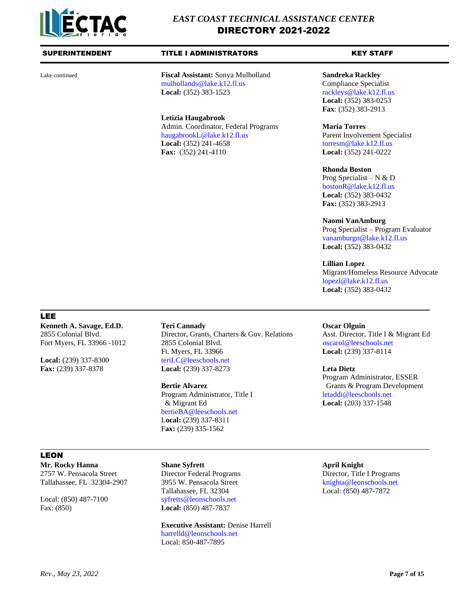

Lake continued **Fiscal Assistant:** Sonya Mulholland **Sandreka Rackley**<br>mulhollands @lake.k12.fl.us **Compliance** Specialist [mulhollands@lake.k12.fl.us](mailto:mulhollands@lake.k12.fl.us) **Local:** (352) 383-1523 rackleys @lake.k12.fl.us

> **Letizia Haugabrook** Admin. Coordinator, Federal Programs **Maria Torres** [haugabrookL@lake.k12.fl.us](mailto:haugabrookL@lake.k12.fl.us) Parent Involvement Specialist **Local:** (352) 241-4658 [torresm@lake.k12.fl.us](mailto:torresm@lake.k12.fl.us) **Fax:** (352) 241-4110 **Local:** (352) 241-0222

**Local:** (352) 383-0253 **Fax**: (352) 383-2913

### **Rhonda Boston**

Prog Specialist – N  $&$  D [bostonR@lake.k12.fl.us](mailto:bostonR@lake.k12.fl.us) **Local:** (352) 383-0432 **Fax:** (352) 383-2913

## **Naomi VanAmburg**

Prog Specialist – Program Evaluator [vanamburgn@lake.k12.fl.us](mailto:vanamburgn@lake.k12.fl.us) **Local:** (352) 383-0432

### **Lillian Lopez**

Migrant/Homeless Resource Advocate [lopezl@lake.k12.fl.us](mailto:lopezl@lake.k12.fl.us) **Local:** (352) 383-0432

# LEE

**Kenneth A. Savage, Ed.D. Teri Cannady Connected A. Savage, Ed.D. Teri Cannady Oscar Olguin** 

Local: (239) 337-8300 [teriLC@leeschools.net](mailto:teriLC@leeschools.net)

Fort Myers, FL 33966 -1012 2855 Colonial Blvd.oscarol@leeschools.net Ft. Myers, FL 33966 **Local:** (239) 337-8114 **Fax:** (239) 337-8378 **Local:** (239) 337-8273 **Leta Dietz**

[bertieBA@leeschools.net](mailto:bertieBA@leeschools.net) L**ocal:** (239) 337-8311 F**ax:** (239) 335-1562

2855 Colonial Blvd. Director, Grants, Charters & Gov. Relations Asst. Director, Title I & Migrant Ed

Program Administrator, ESSER **Bertie Alvarez** Grants & Program Development Program Administrator, Title I [letaddi@leeschools.net](mailto:letaddi@leeschools.net) & Migrant Ed **Local:** (203) 337-1548

# LEON

**Mr. Rocky Hanna Shane Syfrett April Knight** 2757 W. Pensacola Street Director Federal Programs Director, Title I Programs Tallahassee, FL 32304-2907 3955 W. Pensacola Street [knighta@leonschools.net](mailto:knighta@leonschools.net)

Fax: (850) **Local:** (850) 487-7837

Tallahassee, FL 32304 Local: (850) 487-7872 Local: (850) 487-7100 [syfretts@leonschools.net](mailto:syfretts@leonschools.net)

> **Executive Assistant:** Denise Harrell [harrelld@leonschools.net](mailto:harrelld@leonschools.net) Local: 850-487-7895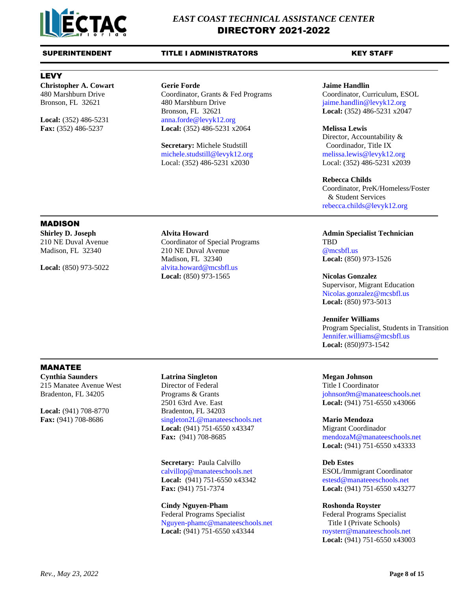

# LEVY

**Christopher A. Cowart Gerie Forde Jaime Handlin**

480 Marshburn Drive Coordinator, Grants & Fed Programs Coordinator, Curriculum, ESOL<br>Bronson, FL 32621 480 Marshburn Drive jaime.handlin@levyk12.org Bronson, FL 32621 480 Marshburn Drive [jaime.handlin@levyk12.org](mailto:jaime.handlin@levyk12.org) Bronson, FL 32621 **Local:** (352) 486-5231 x2047 **Local:** (352) 486-5231 [anna.forde@levyk12.org](mailto:anna.forde@levyk12.org) **Fax:** (352) 486-5237 **Local:** (352) 486-5231 x2064 **Melissa Lewis**

> **Secretary:** Michele Studstill Coordinador, Title IX [michele.studstill@levyk12.org](mailto:michele.studstill@levyk12.org) [melissa.lewis@levyk12.org](mailto:melissa.lewis@levyk12.org) Local: (352) 486-5231 x2030 Local: (352) 486-5231 x2039

Director, Accountability &

# **Rebecca Childs**

Coordinator, PreK/Homeless/Foster & Student Services [rebecca.childs@levyk12.org](mailto:rebecca.childs@levyk12.org)

# MADISON

**Shirley D. Joseph Alvita Howard Admin Specialist Technician** 

210 NE Duval Avenue Coordinator of Special Programs TBD Madison, FL 32340 210 NE Duval Avenue [@mcsbfl.us](mailto:kathy.smith@mcsbfl.us) Madison, FL 32340 **Local:** (850) 973-1526 Local: (850) 973-5022 [alvita.howard@mcsbfl.us](mailto:alvita.howard@mcsbfl.us) **Local:** (850) 973-1565 **Nicolas Gonzalez**

Supervisor, Migrant Education [Nicolas.gonzalez@mcsbfl.us](mailto:Nicolas.gonzalez@mcsbfl.us) **Local:** (850) 973-5013

# **Jennifer Williams** Program Specialist, Students in Transition [Jennifer.williams@mcsbfl.us](mailto:Jennifer.williams@mcsbfl.us) **Local:** (850)973-1542

# MANATEE

**Cynthia Saunders Latrina Singleton Megan Johnson**

**Local:** (941) 708-8770 Bradenton, FL 34203

215 Manatee Avenue West Director of Federal Title I Coordinator Bradenton, FL 34205 Programs & Grants and the state in the intervals of phison9m@manateeschools.net 2501 63rd Ave. East **Local:** (941) 751-6550 x43066 **Fax:** (941) 708-8686 singleton2L@manateeschools.net **Mario Mendoza Local:** (941) 751-6550 x43347 Migrant Coordinador **Fax:** (941) 708-8685 [mendozaM@manateeschools.net](mailto:mendozaM@manateeschools.net)

> **Secretary:** Paula Calvillo **Deb Estes** [calvillop@manateeschools.net](mailto:calvillop@manateeschools.net) ESOL/Immigrant Coordinator Local: (941) 751-6550 x43342 [estesd@manateeeschools.net](mailto:estesd@manateeeschools.net) **Fax:** (941) 751-7374 **Local:** (941) 751-6550 x43277

**Cindy Nguyen-Pham Roshonda Royster** Federal Programs Specialist Federal Programs Specialist [Nguyen-phamc@manateeschools.net](mailto:Nguyen-phamc@manateeschools.net) Title I (Private Schools) Local: (941) 751-6550 x43344 [roysterr@manateeschools.net](mailto:roysterr@manateeschools.net)

**Local:** (941) 751-6550 x43333

**Local:** (941) 751-6550 x43003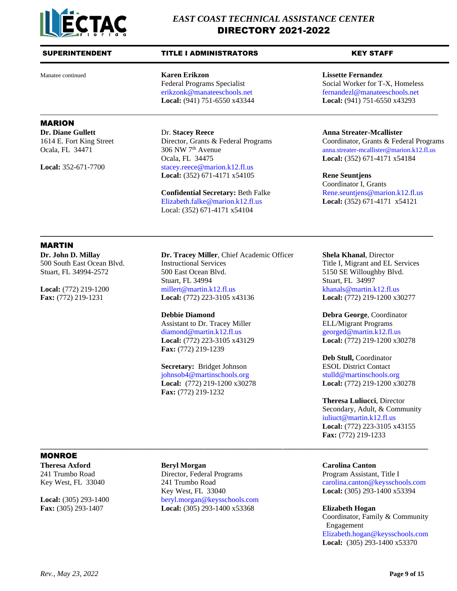

# SUPERINTENDENT TITLE I ADMINISTRATORS THE KEY STAFF

Manatee continued **Karen Erikzon Lissette Fernandez Local:** (941) 751-6550 x43344 **Local:** (941) 751-6550 x43293

# MARION

**Dr. Diane Gullett** Dr. **Stacey Reece Anna Streater-Mcallister** Ocala, FL 34475 **Local:** (352) 671-4171 x54184 Local: 352-671-7700 [stacey.reece@marion.k12.fl.us](mailto:stacey.reece@marion.k12.fl.us) **Local:** (352) 671-4171 x54105 **Rene Seuntjens**

> **Confidential Secretary:** Beth Falke [Rene.seuntjens@marion.k12.fl.us](mailto:Rene.seuntjens@marion.k12.fl.us) [Elizabeth.falke@marion.k12.fl.us](mailto:Elizabeth.falke@marion.k12.fl.us) **Local:** (352) 671-4171 x54121 Local: (352) 671-4171 x54104

Federal Programs Specialist Social Worker for T-X, Homeless [erikzonk@manateeschools.net](mailto:erikzonk@manateeschools.net) [fernandezl@manateeschools.net](mailto:fernandezl@manateeschools.net)

1614 E. Fort King Street Director, Grants & Federal Programs Coordinator, Grants & Federal Programs Ocala, FL 34471 306 NW 7<sup>th</sup> Avenue anna.streater-mcallister@marion.k12.fl.us Ocala, FL 34471 306 NW 7<sup>th</sup> Avenue [anna.streater-mcallister@marion.k12.fl.us](mailto:anna.streater-mcallister@marion.k12.fl.us)

Coordinator I, Grants

# MARTIN

**Dr. John D. Millay Dr. Tracey Miller**, Chief Academic Officer **Shela Khanal**, Director 500 South East Ocean Blvd. Instructional Services Title I, Migrant and EL Services Stuart, FL 34994-2572 500 East Ocean Blvd. 5150 SE Willoughby Blvd. Stuart, FL 34994 Stuart, FL 34997 **Local:**  $(772)$  219-1200 [millert@martin.k12.fl.us](mailto:millert@martin.k12.fl.us) [khanals@martin.k12.fl.us](mailto:khanals@martin.k12.fl.us) **Fax:** (772) 219-1231 **Local:** (772) 223-3105 x43136 **Local:** (772) 219-1200 x30277

> Assistant to Dr. Tracey Miller ELL/Migrant Programs [diamond@martin.k12.fl.us](mailto:diamond@martin.k12.fl.us) [georged@martin.k12.fl.us](mailto:georged@martin.k12.fl.us) **Fax:** (772) 219-1239

# **Secretary:** Bridget Johnson ESOL District Contact

[johnsob4@martinschools.org](mailto:johnsob4@martinschools.org) [stulld@martinschools.org](mailto:stulld@martinschools.org) **Local:** (772) 219-1200 x30278 **Local:** (772) 219-1200 x30278 **Fax:** (772) 219-1232

**Debbie Diamond Debra George**, Coordinator **Local:** (772) 223-3105 x43129 **Local:** (772) 219-1200 x30278

**Deb Stull,** Coordinator

**Theresa Luliucci**, Director Secondary, Adult, & Community [iuliuct@martin.k12.fl.us](mailto:iuliuct@martin.k12.fl.us) **Local:** (772) 223-3105 x43155 **Fax:** (772) 219-1233

# MONROE

**Theresa Axford Beryl Morgan Carolina Canton**

241 Trumbo Road Director, Federal Programs Program Assistant, Title I Key West, FL 33040 **Local:** (305) 293-1400 x53394 Local: (305) 293-1400 [beryl.morgan@keysschools.com](mailto:beryl.morgan@keysschools.com) **Fax:** (305) 293-1407 **Local:** (305) 293-1400 x53368 **Elizabeth Hogan**

**\_\_\_\_\_\_\_\_\_\_\_\_\_\_\_\_\_\_\_\_\_\_\_\_\_\_\_\_\_\_\_\_\_\_\_\_\_\_\_\_\_\_\_\_\_\_\_\_\_\_\_\_\_\_\_\_\_\_\_\_\_\_\_\_\_\_\_\_\_\_\_\_\_\_\_\_\_\_\_\_\_\_\_\_\_\_\_\_\_\_\_\_\_\_\_\_\_\_\_\_\_\_\_\_**

Key West, FL 33040 241 Trumbo Road [carolina.canton@keysschools.com](mailto:carolina.canton@keysschools.com)

Coordinator, Family & Community

 Engagement [Elizabeth.hogan@keysschools.com](mailto:Elizabeth.hogan@keysschools.com) **Local:** (305) 293-1400 x53370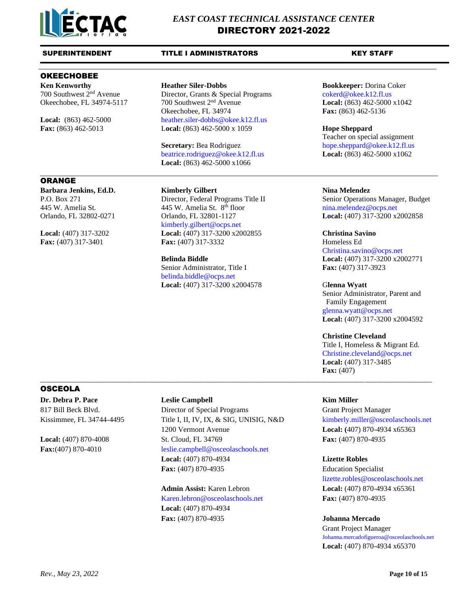

# OKEECHOBEE

# ORANGE

**Barbara Jenkins, Ed.D. Kimberly Gilbert Nina Melendez**

700 Southwest 2nd Avenue Director, Grants & Special Programs cokerd@okee.k12.fl.us Okeechobee, FL 34974-5117 700 Southwest 2nd Avenue **Local:** (863) 462-5000 x1042 Okeechobee, FL 34974 **Fax:** (863) 462-5136 Local: (863) 462-5000 [heather.siler-dobbs@okee.k12.fl.us](mailto:heather.siler-dobbs@okee.k12.fl.us) **Fax:** (863) 462-5013 L**ocal:** (863) 462-5000 x 1059 **Hope Sheppard**

> **Secretary:** Bea Rodriguez [hope.sheppard@okee.k12.fl.us](mailto:hope.sheppard@okee.k12.fl.us) [beatrice.rodriguez@okee.k12.fl.us](mailto:beatrice.rodriguez@okee.k12.fl.us) **Local:** (863) 462-5000 x1062 **Local:** (863) 462-5000 x1066

445 W. Amelia St. 445 W. Amelia St. 8 Orlando, FL 32802-0271 Orlando, FL 32801-1127 **Local:** (407) 317-3200 x2002858 kimberly.gilbert@ocps.net **Local:** (407) 317-3202 **Local:** (407) 317-3200 x2002855 **Christina Savino Fax:** (407) 317-3401 **Fax:** (407) 317-3332 Homeless Ed

Senior Administrator, Title I **Fax:** (407) 317-3923 [belinda.biddle@ocps.net](mailto:belinda.biddle@ocps.net) **Local:** (407) 317-3200 x2004578 G**lenna Wyatt**

# **Ken Kenworthy Heather Siler-Dobbs Bookkeeper:** Dorina Coker

Teacher on special assignment

P.O. Box 271 Director, Federal Programs Title II Senior Operations Manager, Budget [nina.melendez@ocps.net](mailto:nina.melendez@ocps.net)

# Christina.savino@ocps.net **Belinda Biddle Local:** (407) 317-3200 x2002771

Senior Administrator, Parent and Family Engagement [glenna.wyatt@ocps.net](mailto:glenna.wyatt@ocps.net) **Local:** (407) 317-3200 x2004592

# **Christine Cleveland**

Title I, Homeless & Migrant Ed. Christine.cleveland@ocps.net **Local:** (407) 317-3485 **Fax:** (407)

# OSCEOLA

**Dr. Debra P. Pace Leslie Campbell Kim Miller**

817 Bill Beck Blvd. Director of Special Programs Grant Project Manager Kissimmee, FL 34744-4495 Title I, II, IV, IX, & SIG, UNISIG, N&D [kimberly.miller@osceolaschools.net](mailto:kimberly.miller@osceolaschools.net) 1200 Vermont Avenue **Local: (**407) 870-4934 x65363 **Local:** (407) 870-4008 St. Cloud, FL 34769 **Fax:** (407) 870-4935 **Fax:**(407) 870-4010 [leslie.campbell@osceolaschools.net](mailto:campbles@osceola.k12.fl.us) **Local:** (407) 870-4934 **Lizette Robles Fax:** (407) 870-4935 **Education Specialist** 

\_\_\_\_\_\_\_\_\_\_\_\_\_\_\_\_\_\_\_\_\_\_\_\_\_\_\_\_\_\_\_\_\_\_\_\_\_\_\_\_\_\_\_\_\_\_\_\_\_\_\_\_\_\_\_\_\_\_\_\_\_\_\_\_\_\_\_\_\_\_\_\_\_\_\_\_\_\_\_\_\_\_\_\_\_\_\_\_\_\_\_\_\_\_\_\_\_\_\_\_\_\_\_\_\_

# Karen.lebron@osceolaschools.net **Fax:** (407) 870-4935

**Local:** (407) 870-4934 **Fax:** (407) 870-4935 **Johanna Mercado**

[lizette.robles@osceolaschools.net](mailto:lizette.robles@osceolaschools.net) **Admin Assist:** Karen Lebron **Local:** (407) 870-4934 x65361

Grant Project Manager [Johanna.mercadofigueroa@osceolaschools.net](mailto:Johanna.mercadofigueroa@osceolaschools.net) **Local:** (407) 870-4934 x65370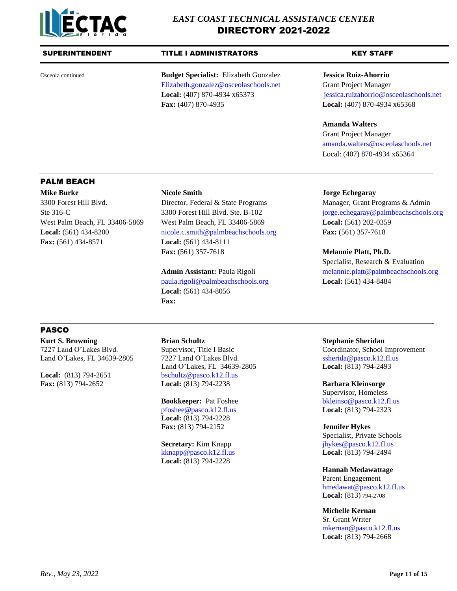

# SUPERINTENDENT TITLE I ADMINISTRATORS THE KEY STAFF

Osceola continued **Budget Specialist:** Elizabeth Gonzalez **Jessica Ruiz-Ahorrio** Elizabeth.gonzalez@osceolaschools.net Grant Project Manager **Local:** (407) 870-4934 x65373 [jessica.ruizahorrio@osceolaschools.net](mailto:jessica.ruizahorrio@osceolaschools.net) **Fax:** (407) 870-4935 **Local:** (407) 870-4934 x65368

# **Amanda Walters**

Grant Project Manager [amanda.walters@osceolaschools.net](mailto:amanda.walters@osceolaschools.net) Local: (407) 870-4934 x65364

# PALM BEACH

**Mike Burke Nicole Smith Jorge Echegaray Fax:** (561) 434-8571 **Local:** (561) 434-8111

3300 Forest Hill Blvd. Director, Federal & State Programs Manager, Grant Programs & Admin West Palm Beach, FL 33406-5869 West Palm Beach, FL 33406-5869 **Local:** (561) 202-0359 **Local:** (561) 434-8200 [nicole.c.smith@palmbeachschools.org](mailto:nicole.c.smith@palmbeachschools.org) **Fax:** (561) 357-7618 **Fax:** (561) 357-7618 **Melannie Platt, Ph.D.**

> [paula.rigoli@palmbeachschools.org](mailto:paula.rigoli@palmbeachschools.org) **Local:** (561) 434-8484 **Local:** (561) 434-8056 **Fax:**

Ste 316-C 3300 Forest Hill Blvd. Ste. B-102 [jorge.echegaray@palmbeachschools.org](mailto:jorge.echegaray@palmbeachschools.org)

Specialist, Research & Evaluation **Admin Assistant: Paula Rigoli [melannie.platt@palmbeachschools.org](mailto:melannie.platt@palmbeachschools.org)** 

# PASCO

**Kurt S. Browning Brian Schultz Stephanie Sheridan**

Land O'Lakes, FL 34639-2805 7227 Land O'Lakes Blvd. Ssherida@pasco.k12.fl.us Land O'Lakes, FL 34639-2805 **Local:** (813) 794-2493 **Local:** (813) 794-2651 [bschultz@pasco.k12.fl.us](mailto:bschultz@pasco.k12.fl.us) **Fax:** (813) 794-2652 **Local:** (813) 794-2238 **Barbara Kleinsorge**

> [pfoshee@pasco.k12.fl.us](mailto:pfoshee@pasco.k12.fl.us) **Local:** (813) 794-2323 **Local:** (813) 794-2228 **Fax:** (813) 794-2152 **Jennifer Hykes**

> [kknapp@pasco.k12.fl.us](mailto:kknapp@pasco.k12.fl.us) **Local:** (813) 794-2494 **Local:** (813) 794-2228

7227 Land O'Lakes Blvd. Supervisor, Title I Basic Coordinator, School Improvement

Supervisor, Homeless **Bookkeeper:** Pat Foshee bkleinso@pasco.k12.fl.us

Specialist, Private Schools **Secretary:** Kim Knapp [jhykes@pasco.k12.fl.us](mailto:jhykes@pasco.k12.fl.us)

> **Hannah Medawattage** Parent Engagement [hmedawat@pasco.k12.fl.us](mailto:hmedawat@pasco.k12.fl.us)

**Local:** (813) 794-2708

**Michelle Kernan**

Sr. Grant Writer [mkernan@pasco.k12.fl.us](mailto:mkernan@pasco.k12.fl.us) **Local:** (813) 794-2668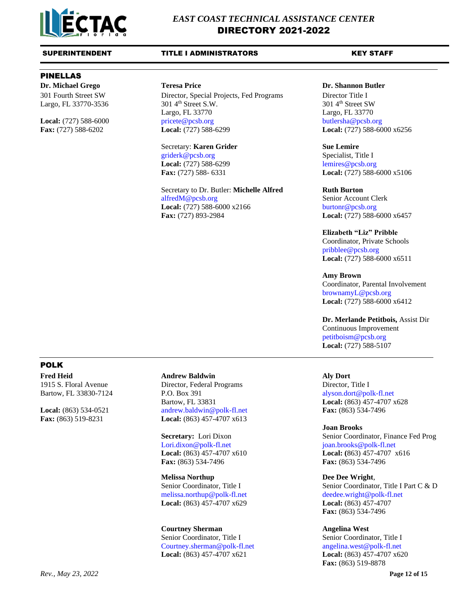

# PINELLAS

Largo, FL 33770-3536

301 Fourth Street SW Director, Special Projects, Fed Programs Director Title I<br>Largo, FL 33770-3536 301 4<sup>th</sup> Street S.W. 301 4<sup>th</sup> Street S.W. Largo, FL 33770 Largo, FL 33770 **Local:** (727) 588-6000 pricete@pcsb.org [butlersha@pcsb.org](mailto:butlersha@pcsb.org) butlersha@pcsb.org **Fax:** (727) 588-6202 **Local:** (727) 588-6299 **Local:** (727) 588-6000 x6256

> Secretary: **Karen Grider Sue Lemire** [griderk@pcsb.org](mailto:griderk@pcsb.org) Specialist, Title I **Local:** (727) 588-6299 [lemires@pcsb.org](mailto:lemires@pcsb.org)

Secretary to Dr. Butler: Michelle Alfred **Ruth Burton** [alfredM@pcsb.org](mailto:alfredM@pcsb.org) Senior Account Clerk **Local:** (727) 588-6000 x2166 burtonr@pcsb.org **Fax:** (727) 893-2984 **Local:** (727) 588-6000 x6457

## **Dr. Michael Grego Teresa Price Dr. Shannon Butler**

**Fax:** (727) 588- 6331 **Local:** (727) 588-6000 x5106

# **Elizabeth "Liz" Pribble**

Coordinator, Private Schools [pribblee@pcsb.org](mailto:pribblee@pcsb.org) **Local:** (727) 588-6000 x6511

# **Amy Brown**

Coordinator, Parental Involvement [brownamyL@pcsb.org](mailto:brownamyL@pcsb.org) **Local:** (727) 588-6000 x6412

**Dr. Merlande Petitbois,** Assist Dir Continuous Improvement [petitboism@pcsb.org](mailto:petitboism@pcsb.org) **Local:** (727) 588-5107

# POLK

**Fred Heid Andrew Baldwin Aly Dort** 1915 S. Floral Avenue Director, Federal Programs Director, Title I

Bartow, FL 33830-7124 P.O. Box 391 [alyson.dort@polk-fl.net](mailto:alyson.dort@polk-fl.net) Bartow, FL 33831 **Local:** (863) 457-4707 x628 **Local:** (863) 534-0521 andrew.baldwin@polk-fl.net **Fax:** (863) 534-7496 **Fax:** (863) 519-8231 **Local:** (863) 457-4707 x613

> Lori.dixon @polk-fl.net joan.brooks @polk-fl.net **Fax:** (863) 534-7496 **Fax:** (863) 534-7496

**Melissa Northup Dee Dee Wright**, [melissa.northup@polk-fl.net](mailto:melissa.northup@polk-fl.net) [deedee.wright@polk-fl.net](mailto:deedee.wright@polk-fl.net) **Local:** (863) 457-4707 x629 **Local:** (863) 457-4707

**Courtney Sherman Angelina West** Senior Coordinator, Title I Senior Coordinator, Title I [Courtney.sherman@polk-fl.net](mailto:Courtney.sherman@polk-fl.net) [angelina.west@polk-fl.net](mailto:angelina.west@polk-fl.net) **Local:** (863) 457-4707 x621 **Local:** (863) 457-4707 x620

### **Joan Brooks**

**Secretary:** Lori Dixon Senior Coordinator, Finance Fed Prog **Local:** (863) 457-4707 x610 **Local: (**863) 457-4707 x616

Senior Coordinator, Title I Senior Coordinator, Title I Part C & D **Fax:** (863) 534-7496

**Fax:** (863) 519-8878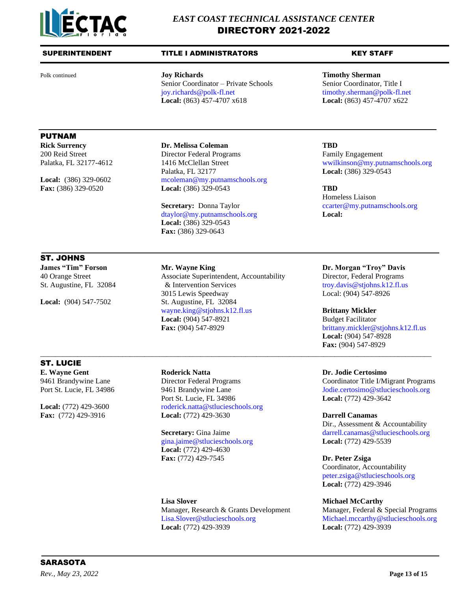

# SUPERINTENDENT TITLE I ADMINISTRATORS THE KEY STAFF

Polk continued **Joy Richards Timothy Sherman** Senior Coordinator – Private Schools Senior Coordinator, Title I [joy.richards@polk-fl.net](mailto:joy.richards@polk-fl.net) [timothy.sherman@polk-fl.net](mailto:timothy.sherman@polk-fl.net) **Local:** (863) 457-4707 x618 **Local:** (863) 457-4707 x622

# PUTNAM

**Rick Surrency Dr. Melissa Coleman TBD** 200 Reid Street Director Federal Programs Family Engagement Palatka, FL 32177 **Local:** [\(386\)](mailto:ccarter@my.putnamschools.org) 329-0543 Local: (386) 329-0602 [mcoleman@my.putnamschools.org](mailto:mcoleman@my.putnamschools.org) **Fax:** (386) 329-0520 **Local:** (386) 329-0543 **TBD**

> **Secretary:** Donna Taylor [ccarter@my.putnamschools.org](mailto:ccarter@my.putnamschools.org) [dtaylor@my.putnamschools.org](mailto:dtaylor@my.putnamschools.org) **Local: Local:** (386) 329-0543 **Fax:** (386) 329-0643

# ST. JOHNS

40 Orange Street Associate Superintendent, Accountability Director, Federal Programs St. Augustine, FL 32084 & Intervention Services [troy.davis@stjohns.k12.fl.us](mailto:troy.davis@stjohns.k12.fl.us) 3015 Lewis Speedway Local: (904) 547-8926 **Local:** (904) 547-7502 St. Augustine, FL 32084 [wayne.king@stjohns.k12.fl.us](mailto:wayne.king@stjohns.k12.fl.us) **Brittany Mickler Local:** (904) 547-8921 Budget Facilitator Fax: (904) 547-8929 [brittany.mickler@stjohns.k12.fl.us](mailto:brittany.mickler@stjohns.k12.fl.us)

\_\_\_\_\_\_\_\_\_\_\_\_\_\_\_\_\_\_\_\_\_\_\_\_\_\_\_\_\_\_\_\_\_\_\_\_\_\_\_\_\_\_\_\_\_\_\_\_\_\_\_\_\_\_\_\_\_\_\_\_\_\_\_\_\_\_\_\_\_\_\_\_\_\_\_\_\_\_\_\_\_\_\_\_\_\_\_\_\_\_\_\_\_\_\_\_\_\_\_\_\_\_\_\_\_

# ST. LUCIE

**E. Wayne Gent Roderick Natta Dr. Jodie Certosimo**

Port St. Lucie, FL 34986 **Local:** (772) 429-3642 Local: (772) 429-3600 [roderick.natta@stlucieschools.org](mailto:roderick.natta@stlucieschools.org) **Fax:** (772) 429-3916 **Local:** (772) 429-3630 **Darrell Canamas**

> [gina.jaime@stlucieschools.org](mailto:gina.jaime@stlucieschools.org) **Local:** (772) 429-5539 **Local:** (772) 429-4630 **Fax:** (772) 429-7545 **Dr. Peter Zsiga**

**Lisa Slover**<br> **Michael McCarthy**<br> **Manager, Federal & Special Programs**<br> **Manager, Federal & Special Programs** Manager, Research & Grants Development [Lisa.Slover@stlucieschools.org](mailto:Lisa.Slover@stlucieschools.org) [Michael.mccarthy@stlucieschools.org](mailto:Michael.mccarthy@stlucieschools.org) **Local:** (772) 429-3939 **Local:** (772) 429-3939

Palatka, FL 32177-4612 1416 McClellan Street wwilkinson@my.putnamschools.org

Homeless Liaison

**James "Tim" Forson <b>Mr.** Wayne King **Dr. Morgan "Troy" Davis** 

**Local:** (904) 547-8928 **Fax:** (904) 547-8929

9461 Brandywine Lane Director Federal Programs Coordinator Title I/Migrant Programs Port St. Lucie, FL 34986 9461 Brandywine Lane [Jodie.certosimo@stlucieschools.org](mailto:Jodie.certosimo@stlucieschools.org)

Dir., Assessment & Accountability **Secretary:** Gina Jaime [darrell.canamas@stlucieschools.org](mailto:darrell.canamas@stlucieschools.org)

Coordinator, Accountability [peter.zsiga@stlucieschools.org](mailto:peter.zsiga@stlucieschools.org) **Local:** (772) 429-3946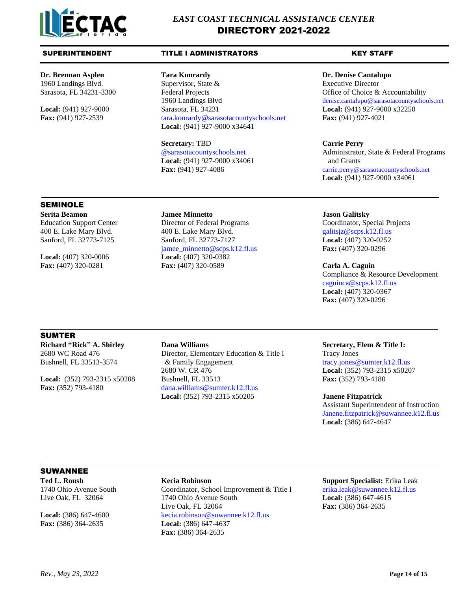

1960 Landings Blvd. Supervisor, State & Executive Director Sarasota, FL 34231-3300 Federal Projects **Fund Accountability** Office of Choice & Accountability 1960 Landings Blvd denise.cantalupo@sarasotacountyschools.net **Local:** (941) 927-9000 Sarasota, FL 34231 **Local:** (941) 927-9000 x32250 **Fax:** (941) 927-2539 tara.konrardy@sarasotacountyschools.net **Fax:** (941) 927-4021 **Local:** (941) 927-9000 x34641

> **Secretary:** TBD **Carrie Perry Local:**  $(941)$  927-9000 x34061 **and Grants**

# **Dr. Brennan Asplen Tara Konrardy Dr. Denise Cantalupo**

@sarasotacountyschools.net Administrator, State & Federal Programs **Fax:** (941) 927-4086 **[carrie.perry@sarasotacountyschools.net](mailto:carrie.perry@sarasotacountyschools.net) Local:** (941) 927-9000 x34061

# SEMINOLE

**Serita Beamon Jamee Minnetto Jason Galitsky**

Education Support Center Director of Federal Programs Coordinator, Special Projects 400 E. Lake Mary Blvd. 400 E. Lake Mary Blvd. galitsjz@scps.k12.fl.us Sanford, FL 32773-7125 Sanford, FL 32773-7127 **Local:** (407) 320-0252 jamee\_minnetto@scps.k12.fl.us **Fax:** (407) 320-0296 **Local:** (407) 320-0006 **Local:** (407) 320-0382 **Fax:** (407) 320-0281 **Fax:** (407) 320-0589 **Carla A. Caguin**

Compliance & Resource Development [caguinca@scps.k12.fl.us](mailto:caguinca@scps.k12.fl.us) **Local:** (407) 320-0367 **Fax:** (407) 320-0296

# SUMTER

**Richard "Rick" A. Shirley Dana Williams Secretary, Elem & Title I:**

2680 WC Road 476 Director, Elementary Education & Title I Tracy Jones Bushnell, FL 33513-3574 & Family Engagement tracy.jones@sumter.k12.fl.us 2680 W. CR 476 **Local:** (352) 793-2315 x50207 **Local:** (352) 793-2315 x50208 Bushnell, FL 33513 **Fax:** (352) 793-4180 **Fax:** (352) 793-4180 [dana.williams@sumter.k12.fl.us](mailto:dana.williams@sumter.k12.fl.us) **Local:** (352) 793-2315 x50205 **Janene Fitzpatrick**

Assistant Superintendent of Instruction [Janene.fitzpatrick@suwannee.k12.fl.us](mailto:Janene.fitzpatrick@suwannee.k12.fl.us) **Local:** (386) 647-4647

# SUWANNEE

**Fax:** (386) 364-2635 **Local:** (386) 647-4637

1740 Ohio Avenue South Coordinator, School Improvement & Title I [erika.leak@suwannee.k12.fl.us](mailto:erika.leak@suwannee.k12.fl.us) Live Oak, FL 32064 1740 Ohio Avenue South **Local:** (386) 647-4615 Live Oak, FL 32064 **Fax:** (386) 364-2635 Local: (386) 647-4600 [kecia.robinson@suwannee.k12.fl.us](mailto:kecia.robinson@suwannee.k12.fl.us) **Fax:** (386) 364-2635

**Ted L. Roush Kecia Robinson Support Specialist:** Erika Leak